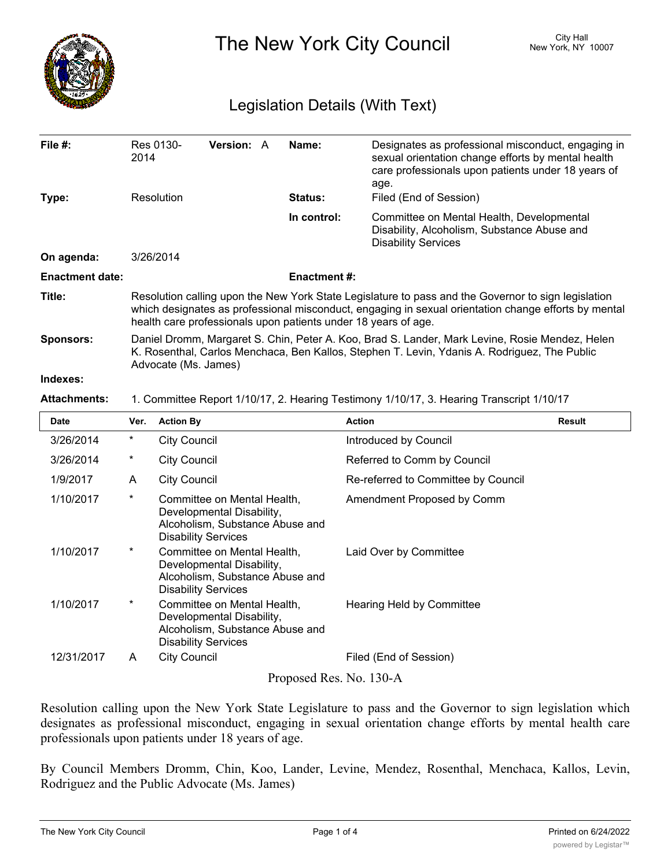

The New York City Council New York, NY 10007

## Legislation Details (With Text)

| File $#$ :             | Res 0130-<br>2014                                                                                                                                                                                                                                                             | <b>Version: A</b> |  | Name:          | Designates as professional misconduct, engaging in<br>sexual orientation change efforts by mental health<br>care professionals upon patients under 18 years of<br>age. |  |  |
|------------------------|-------------------------------------------------------------------------------------------------------------------------------------------------------------------------------------------------------------------------------------------------------------------------------|-------------------|--|----------------|------------------------------------------------------------------------------------------------------------------------------------------------------------------------|--|--|
| Type:                  | Resolution                                                                                                                                                                                                                                                                    |                   |  | <b>Status:</b> | Filed (End of Session)                                                                                                                                                 |  |  |
|                        |                                                                                                                                                                                                                                                                               |                   |  | In control:    | Committee on Mental Health, Developmental<br>Disability, Alcoholism, Substance Abuse and<br><b>Disability Services</b>                                                 |  |  |
| On agenda:             | 3/26/2014                                                                                                                                                                                                                                                                     |                   |  |                |                                                                                                                                                                        |  |  |
| <b>Enactment date:</b> | <b>Enactment#:</b>                                                                                                                                                                                                                                                            |                   |  |                |                                                                                                                                                                        |  |  |
| Title:                 | Resolution calling upon the New York State Legislature to pass and the Governor to sign legislation<br>which designates as professional misconduct, engaging in sexual orientation change efforts by mental<br>health care professionals upon patients under 18 years of age. |                   |  |                |                                                                                                                                                                        |  |  |
| <b>Sponsors:</b>       | Daniel Dromm, Margaret S. Chin, Peter A. Koo, Brad S. Lander, Mark Levine, Rosie Mendez, Helen<br>K. Rosenthal, Carlos Menchaca, Ben Kallos, Stephen T. Levin, Ydanis A. Rodriguez, The Public<br>Advocate (Ms. James)                                                        |                   |  |                |                                                                                                                                                                        |  |  |
| Indexes:               |                                                                                                                                                                                                                                                                               |                   |  |                |                                                                                                                                                                        |  |  |
| <b>Attachments:</b>    | 1. Committee Report 1/10/17, 2. Hearing Testimony 1/10/17, 3. Hearing Transcript 1/10/17                                                                                                                                                                                      |                   |  |                |                                                                                                                                                                        |  |  |

| <b>Date</b> | Ver.     | <b>Action By</b>                                                                                                          | <b>Action</b>                       | Result |
|-------------|----------|---------------------------------------------------------------------------------------------------------------------------|-------------------------------------|--------|
| 3/26/2014   | $^\star$ | <b>City Council</b>                                                                                                       | Introduced by Council               |        |
| 3/26/2014   | $^\star$ | <b>City Council</b>                                                                                                       | Referred to Comm by Council         |        |
| 1/9/2017    | A        | <b>City Council</b>                                                                                                       | Re-referred to Committee by Council |        |
| 1/10/2017   | $^\star$ | Committee on Mental Health,<br>Developmental Disability,<br>Alcoholism, Substance Abuse and<br><b>Disability Services</b> | Amendment Proposed by Comm          |        |
| 1/10/2017   | $\ast$   | Committee on Mental Health,<br>Developmental Disability,<br>Alcoholism, Substance Abuse and<br><b>Disability Services</b> | Laid Over by Committee              |        |
| 1/10/2017   | $\ast$   | Committee on Mental Health,<br>Developmental Disability,<br>Alcoholism, Substance Abuse and<br><b>Disability Services</b> | Hearing Held by Committee           |        |
| 12/31/2017  | A        | <b>City Council</b>                                                                                                       | Filed (End of Session)              |        |
|             |          | $D_{\text{meas}}$ and $D_{\text{ex}}$ M <sub>a</sub> 120 A                                                                |                                     |        |

Proposed Res. No. 130-A

Resolution calling upon the New York State Legislature to pass and the Governor to sign legislation which designates as professional misconduct, engaging in sexual orientation change efforts by mental health care professionals upon patients under 18 years of age.

By Council Members Dromm, Chin, Koo, Lander, Levine, Mendez, Rosenthal, Menchaca, Kallos, Levin, Rodriguez and the Public Advocate (Ms. James)

 $W_{\rm eff}$  , The American Psychological Association (APA) defines a mental disorder as a mental disorder as a  $\alpha$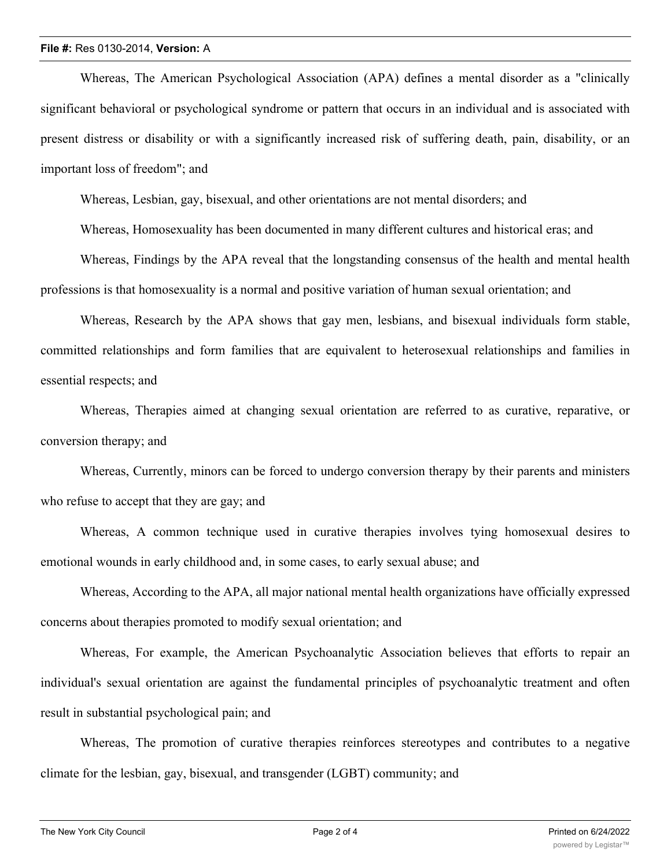## **File #:** Res 0130-2014, **Version:** A

Whereas, The American Psychological Association (APA) defines a mental disorder as a "clinically significant behavioral or psychological syndrome or pattern that occurs in an individual and is associated with present distress or disability or with a significantly increased risk of suffering death, pain, disability, or an important loss of freedom"; and

Whereas, Lesbian, gay, bisexual, and other orientations are not mental disorders; and

Whereas, Homosexuality has been documented in many different cultures and historical eras; and

Whereas, Findings by the APA reveal that the longstanding consensus of the health and mental health professions is that homosexuality is a normal and positive variation of human sexual orientation; and

Whereas, Research by the APA shows that gay men, lesbians, and bisexual individuals form stable, committed relationships and form families that are equivalent to heterosexual relationships and families in essential respects; and

Whereas, Therapies aimed at changing sexual orientation are referred to as curative, reparative, or conversion therapy; and

Whereas, Currently, minors can be forced to undergo conversion therapy by their parents and ministers who refuse to accept that they are gay; and

Whereas, A common technique used in curative therapies involves tying homosexual desires to emotional wounds in early childhood and, in some cases, to early sexual abuse; and

Whereas, According to the APA, all major national mental health organizations have officially expressed concerns about therapies promoted to modify sexual orientation; and

Whereas, For example, the American Psychoanalytic Association believes that efforts to repair an individual's sexual orientation are against the fundamental principles of psychoanalytic treatment and often result in substantial psychological pain; and

Whereas, The promotion of curative therapies reinforces stereotypes and contributes to a negative climate for the lesbian, gay, bisexual, and transgender (LGBT) community; and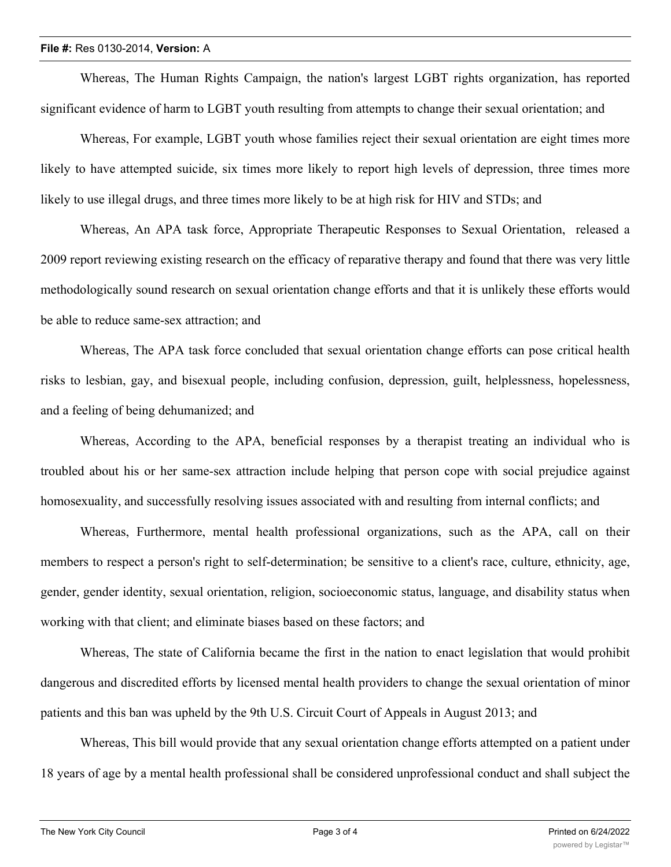Whereas, The Human Rights Campaign, the nation's largest LGBT rights organization, has reported significant evidence of harm to LGBT youth resulting from attempts to change their sexual orientation; and

Whereas, For example, LGBT youth whose families reject their sexual orientation are eight times more likely to have attempted suicide, six times more likely to report high levels of depression, three times more likely to use illegal drugs, and three times more likely to be at high risk for HIV and STDs; and

Whereas, An APA task force, Appropriate Therapeutic Responses to Sexual Orientation, released a 2009 report reviewing existing research on the efficacy of reparative therapy and found that there was very little methodologically sound research on sexual orientation change efforts and that it is unlikely these efforts would be able to reduce same-sex attraction; and

Whereas, The APA task force concluded that sexual orientation change efforts can pose critical health risks to lesbian, gay, and bisexual people, including confusion, depression, guilt, helplessness, hopelessness, and a feeling of being dehumanized; and

Whereas, According to the APA, beneficial responses by a therapist treating an individual who is troubled about his or her same-sex attraction include helping that person cope with social prejudice against homosexuality, and successfully resolving issues associated with and resulting from internal conflicts; and

Whereas, Furthermore, mental health professional organizations, such as the APA, call on their members to respect a person's right to self-determination; be sensitive to a client's race, culture, ethnicity, age, gender, gender identity, sexual orientation, religion, socioeconomic status, language, and disability status when working with that client; and eliminate biases based on these factors; and

Whereas, The state of California became the first in the nation to enact legislation that would prohibit dangerous and discredited efforts by licensed mental health providers to change the sexual orientation of minor patients and this ban was upheld by the 9th U.S. Circuit Court of Appeals in August 2013; and

Whereas, This bill would provide that any sexual orientation change efforts attempted on a patient under 18 years of age by a mental health professional shall be considered unprofessional conduct and shall subject the